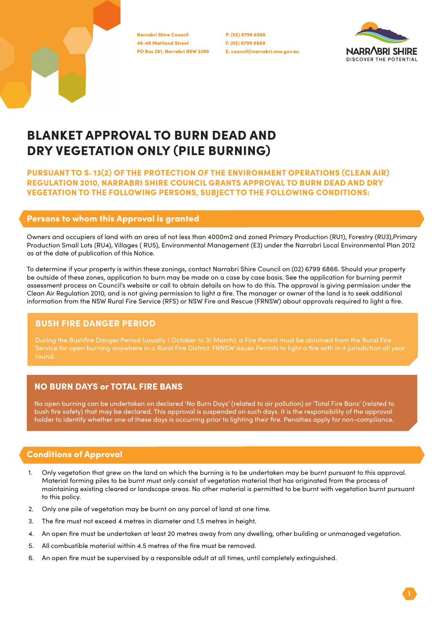46-48 Maitland Street PO Box 261, Narrabri NSW 2390 Narrabri Shire Council

P. (02) 6799 6866 F. (02) 6799 6888 E. council@narrabri.nsw.gov.au



# BLANKET APPROVAL TO BURN DEAD AND DRY VEGETATION ONLY (PILE BURNING)

PURSUANT TO S. 13(2) OF THE PROTECTION OF THE ENVIRONMENT OPERATIONS (CLEAN AIR) REGULATION 2010, NARRABRI SHIRE COUNCIL GRANTS APPROVAL TO BURN DEAD AND DRY VEGETATION TO THE FOLLOWING PERSONS, SUBJECT TO THE FOLLOWING CONDITIONS:

#### Persons to whom this Approval is granted

Owners and occupiers of land with an area of not less than 4000m2 and zoned Primary Production (RU1), Forestry (RU3),Primary Production Small Lots (RU4), Villages ( RU5), Environmental Management (E3) under the Narrabri Local Environmental Plan 2012 as at the date of publication of this Notice.

To determine if your property is within these zonings, contact Narrabri Shire Council on (02) 6799 6866. Should your property be outside of these zones, application to burn may be made on a case by case basis. See the application for burning permit assessment process on Council's website or call to obtain details on how to do this. The approval is giving permission under the Clean Air Regulation 2010, and is not giving permission to light a fire. The manager or owner of the land is to seek additional information from the NSW Rural Fire Service (RFS) or NSW Fire and Rescue (FRNSW) about approvals required to light a fire.

#### BUSH FIRE DANGER PERIOD

During the Bushfire Danger Period (usually 1 October to 31 March), a Fire Permit must be obtained from the Rural Fire Service for open burning anywhere in a Rural Fire District. FRNSW issues Permits to light a fire with in it jurisdiction all year

## NO BURN DAYS or TOTAL FIRE BANS

No open burning can be undertaken on declared 'No Burn Days' (related to air pollution) or 'Total Fire Bans' (related to bush fire safety) that may be declared. This approval is suspended on such days. It is the responsibility of the approval holder to identify whether one of these days is occurring prior to lighting their fire. Penalties apply for non-compliance.

## Conditions of Approval

- 1. Only vegetation that grew on the land on which the burning is to be undertaken may be burnt pursuant to this approval. Material forming piles to be burnt must only consist of vegetation material that has originated from the process of maintaining existing cleared or landscape areas. No other material is permitted to be burnt with vegetation burnt pursuant to this policy.
- 2. Only one pile of vegetation may be burnt on any parcel of land at one time.
- 3. The fire must not exceed 4 metres in diameter and 1.5 metres in height.
- 4. An open fire must be undertaken at least 20 metres away from any dwelling, other building or unmanaged vegetation.
- 5. All combustible material within 4.5 metres of the fire must be removed.
- 6. An open fire must be supervised by a responsible adult at all times, until completely extinguished.